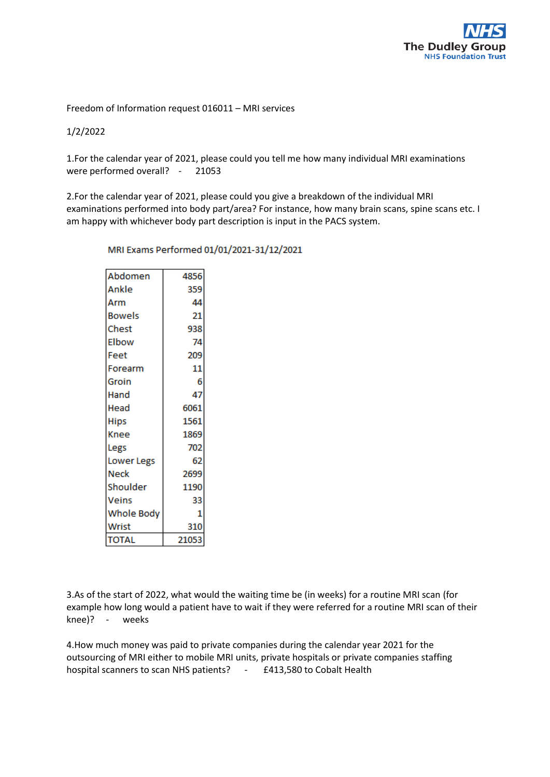

Freedom of Information request 016011 – MRI services

1/2/2022

1.For the calendar year of 2021, please could you tell me how many individual MRI examinations were performed overall? - 21053

2.For the calendar year of 2021, please could you give a breakdown of the individual MRI examinations performed into body part/area? For instance, how many brain scans, spine scans etc. I am happy with whichever body part description is input in the PACS system.

| 4856  |  |
|-------|--|
| 359   |  |
| 44    |  |
| 21    |  |
| 938   |  |
| 74    |  |
| 209   |  |
| 11    |  |
| 6     |  |
| 47    |  |
| 6061  |  |
| 1561  |  |
| 1869  |  |
| 702   |  |
| 62    |  |
| 2699  |  |
| 1190  |  |
| 33    |  |
| 1     |  |
| 310   |  |
| 21053 |  |
|       |  |

MRI Exams Performed 01/01/2021-31/12/2021

3.As of the start of 2022, what would the waiting time be (in weeks) for a routine MRI scan (for example how long would a patient have to wait if they were referred for a routine MRI scan of their knee)? - weeks

4.How much money was paid to private companies during the calendar year 2021 for the outsourcing of MRI either to mobile MRI units, private hospitals or private companies staffing hospital scanners to scan NHS patients? - £413,580 to Cobalt Health